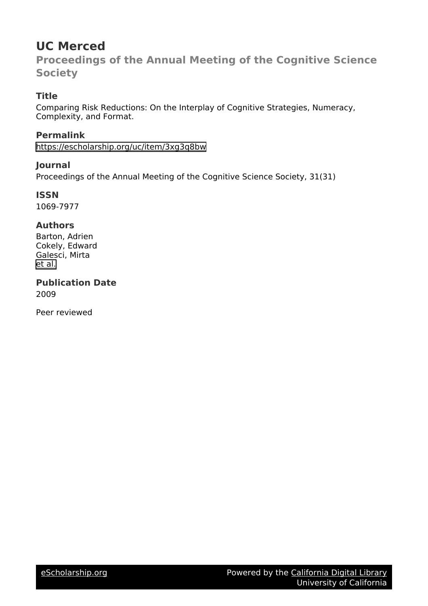# **UC Merced**

**Proceedings of the Annual Meeting of the Cognitive Science Society**

# **Title**

Comparing Risk Reductions: On the Interplay of Cognitive Strategies, Numeracy, Complexity, and Format.

**Permalink** <https://escholarship.org/uc/item/3xg3q8bw>

# **Journal**

Proceedings of the Annual Meeting of the Cognitive Science Society, 31(31)

**ISSN** 1069-7977

## **Authors**

Barton, Adrien Cokely, Edward Galesci, Mirta [et al.](https://escholarship.org/uc/item/3xg3q8bw#author)

**Publication Date** 2009

Peer reviewed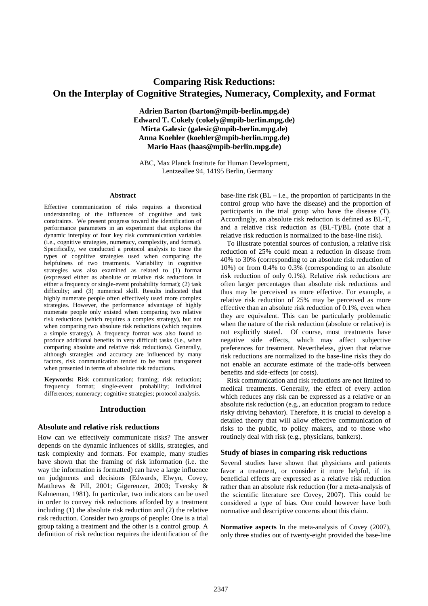# **Comparing Risk Reductions: On the Interplay of Cognitive Strategies, Numeracy, Complexity, and Format**

**Adrien Barton (barton@mpib-berlin.mpg.de) Edward T. Cokely (cokely@mpib-berlin.mpg.de) Mirta Galesic (galesic@mpib-berlin.mpg.de) Anna Koehler (koehler@mpib-berlin.mpg.de) Mario Haas (haas@mpib-berlin.mpg.de)** 

ABC, Max Planck Institute for Human Development, Lentzeallee 94, 14195 Berlin, Germany

#### **Abstract**

Effective communication of risks requires a theoretical understanding of the influences of cognitive and task constraints. We present progress toward the identification of performance parameters in an experiment that explores the dynamic interplay of four key risk communication variables (i.e., cognitive strategies, numeracy, complexity, and format). Specifically, we conducted a protocol analysis to trace the types of cognitive strategies used when comparing the helpfulness of two treatments. Variability in cognitive strategies was also examined as related to (1) format (expressed either as absolute or relative risk reductions in either a frequency or single-event probability format); (2) task difficulty; and (3) numerical skill. Results indicated that highly numerate people often effectively used more complex strategies. However, the performance advantage of highly numerate people only existed when comparing two relative risk reductions (which requires a complex strategy), but not when comparing two absolute risk reductions (which requires a simple strategy). A frequency format was also found to produce additional benefits in very difficult tasks (i.e., when comparing absolute and relative risk reductions). Generally, although strategies and accuracy are influenced by many factors, risk communication tended to be most transparent when presented in terms of absolute risk reductions.

**Keywords:** Risk communication; framing; risk reduction; frequency format; single-event probability; individual differences; numeracy; cognitive strategies; protocol analysis.

### **Introduction**

#### **Absolute and relative risk reductions**

How can we effectively communicate risks? The answer depends on the dynamic influences of skills, strategies, and task complexity and formats. For example, many studies have shown that the framing of risk information (i.e. the way the information is formatted) can have a large influence on judgments and decisions (Edwards, Elwyn, Covey, Matthews & Pill, 2001; Gigerenzer, 2003; Tversky & Kahneman, 1981). In particular, two indicators can be used in order to convey risk reductions afforded by a treatment including (1) the absolute risk reduction and (2) the relative risk reduction. Consider two groups of people: One is a trial group taking a treatment and the other is a control group. A definition of risk reduction requires the identification of the base-line risk (BL – i.e., the proportion of participants in the control group who have the disease) and the proportion of participants in the trial group who have the disease (T). Accordingly, an absolute risk reduction is defined as BL-T, and a relative risk reduction as (BL-T)/BL (note that a relative risk reduction is normalized to the base-line risk).

To illustrate potential sources of confusion, a relative risk reduction of 25% could mean a reduction in disease from 40% to 30% (corresponding to an absolute risk reduction of 10%) or from 0.4% to 0.3% (corresponding to an absolute risk reduction of only 0.1%). Relative risk reductions are often larger percentages than absolute risk reductions and thus may be perceived as more effective. For example, a relative risk reduction of 25% may be perceived as more effective than an absolute risk reduction of 0.1%, even when they are equivalent. This can be particularly problematic when the nature of the risk reduction (absolute or relative) is not explicitly stated. Of course, most treatments have negative side effects, which may affect subjective preferences for treatment. Nevertheless, given that relative risk reductions are normalized to the base-line risks they do not enable an accurate estimate of the trade-offs between benefits and side-effects (or costs).

Risk communication and risk reductions are not limited to medical treatments. Generally, the effect of every action which reduces any risk can be expressed as a relative or an absolute risk reduction (e.g., an education program to reduce risky driving behavior). Therefore, it is crucial to develop a detailed theory that will allow effective communication of risks to the public, to policy makers, and to those who routinely deal with risk (e.g., physicians, bankers).

#### **Study of biases in comparing risk reductions**

Several studies have shown that physicians and patients favor a treatment, or consider it more helpful, if its beneficial effects are expressed as a relative risk reduction rather than an absolute risk reduction (for a meta-analysis of the scientific literature see Covey, 2007). This could be considered a type of bias. One could however have both normative and descriptive concerns about this claim.

**Normative aspects** In the meta-analysis of Covey (2007), only three studies out of twenty-eight provided the base-line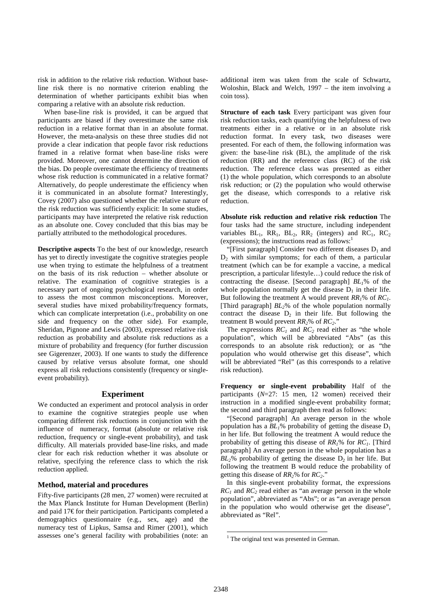risk in addition to the relative risk reduction. Without baseline risk there is no normative criterion enabling the determination of whether participants exhibit bias when comparing a relative with an absolute risk reduction.

When base-line risk is provided, it can be argued that participants are biased if they overestimate the same risk reduction in a relative format than in an absolute format. However, the meta-analysis on these three studies did not provide a clear indication that people favor risk reductions framed in a relative format when base-line risks were provided. Moreover, one cannot determine the direction of the bias. Do people overestimate the efficiency of treatments whose risk reduction is communicated in a relative format? Alternatively, do people underestimate the efficiency when it is communicated in an absolute format? Interestingly, Covey (2007) also questioned whether the relative nature of the risk reduction was sufficiently explicit: In some studies, participants may have interpreted the relative risk reduction as an absolute one. Covey concluded that this bias may be partially attributed to the methodological procedures.

**Descriptive aspects** To the best of our knowledge, research has yet to directly investigate the cognitive strategies people use when trying to estimate the helpfulness of a treatment on the basis of its risk reduction – whether absolute or relative. The examination of cognitive strategies is a necessary part of ongoing psychological research, in order to assess the most common misconceptions. Moreover, several studies have mixed probability/frequency formats, which can complicate interpretation (*i.e.*, probability on one side and frequency on the other side). For example, Sheridan, Pignone and Lewis (2003), expressed relative risk reduction as probability and absolute risk reductions as a mixture of probability and frequency (for further discussion see Gigerenzer, 2003). If one wants to study the difference caused by relative versus absolute format, one should express all risk reductions consistently (frequency or singleevent probability).

### **Experiment**

We conducted an experiment and protocol analysis in order to examine the cognitive strategies people use when comparing different risk reductions in conjunction with the influence of numeracy, format (absolute or relative risk reduction, frequency or single-event probability), and task difficulty. All materials provided base-line risks, and made clear for each risk reduction whether it was absolute or relative, specifying the reference class to which the risk reduction applied.

### **Method, material and procedures**

Fifty-five participants (28 men, 27 women) were recruited at the Max Planck Institute for Human Development (Berlin) and paid 17€ for their participation. Participants completed a demographics questionnaire (e.g., sex, age) and the numeracy test of Lipkus, Samsa and Rimer (2001), which assesses one's general facility with probabilities (note: an

additional item was taken from the scale of Schwartz, Woloshin, Black and Welch, 1997 – the item involving a coin toss).

**Structure of each task Every participant was given four** risk reduction tasks, each quantifying the helpfulness of two treatments either in a relative or in an absolute risk reduction format. In every task, two diseases were presented. For each of them, the following information was given: the base-line risk (BL), the amplitude of the risk reduction (RR) and the reference class (RC) of the risk reduction. The reference class was presented as either (1) the whole population, which corresponds to an absolute risk reduction; or (2) the population who would otherwise get the disease, which corresponds to a relative risk reduction.

**Absolute risk reduction and relative risk reduction** The four tasks had the same structure, including independent variables  $BL_1$ ,  $RR_1$ ,  $BL_2$ ,  $RR_2$  (integers) and  $RC_1$ ,  $RC_2$ (expressions); the instructions read as follows: $<sup>1</sup>$ </sup>

"[First paragraph] Consider two different diseases  $D_1$  and  $D_2$  with similar symptoms; for each of them, a particular treatment (which can be for example a vaccine, a medical prescription, a particular lifestyle…) could reduce the risk of contracting the disease. [Second paragraph] *BL1*% of the whole population normally get the disease  $D_1$  in their life. But following the treatment A would prevent *RR1*% of *RC1*. [Third paragraph] *BL2*% of the whole population normally contract the disease  $D_2$  in their life. But following the treatment B would prevent  $RR_2$ % of  $RC_2$ ."

The expressions  $RC<sub>1</sub>$  and  $RC<sub>2</sub>$  read either as "the whole population", which will be abbreviated "Abs" (as this corresponds to an absolute risk reduction); or as "the population who would otherwise get this disease", which will be abbreviated "Rel" (as this corresponds to a relative risk reduction).

**Frequency or single-event probability** Half of the participants (*N*=27: 15 men, 12 women) received their instruction in a modified single-event probability format; the second and third paragraph then read as follows:

"[Second paragraph] An average person in the whole population has a  $BL_1\%$  probability of getting the disease  $D_1$ in her life. But following the treatment A would reduce the probability of getting this disease of *RR1*% for *RC1*. [Third paragraph] An average person in the whole population has a  $BL<sub>2</sub>$ % probability of getting the disease  $D<sub>2</sub>$  in her life. But following the treatment B would reduce the probability of getting this disease of *RR2*% for *RC2*."

In this single-event probability format, the expressions  $RC<sub>1</sub>$  and  $RC<sub>2</sub>$  read either as "an average person in the whole population", abbreviated as "Abs"; or as "an average person in the population who would otherwise get the disease", abbreviated as "Rel".

 $\overline{a}$ 

<sup>&</sup>lt;sup>1</sup> The original text was presented in German.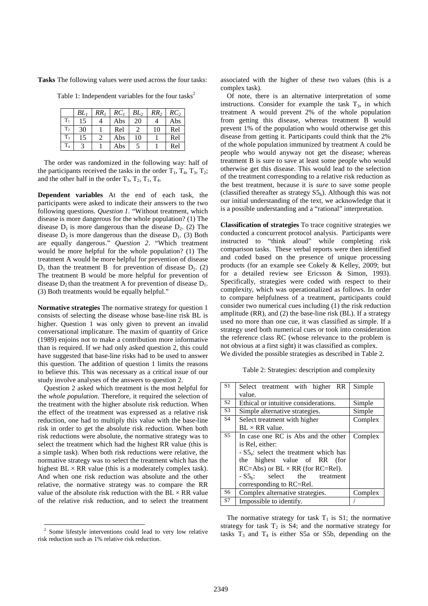**Tasks** The following values were used across the four tasks:

Table 1: Independent variables for the four tasks<sup>2</sup>

|                | $BL_1$ | RR, | RC <sub>1</sub> | BL <sub>2</sub> | RR <sub>2</sub> | $RC_2$ |
|----------------|--------|-----|-----------------|-----------------|-----------------|--------|
| $T_1$          | 15     |     | Abs             | 20              | 4               | Abs    |
| $T_2$          | 30     |     | Rel             |                 | 10              | Rel    |
| $T_{3}$        | 15     |     | Abs             | 10              |                 | Rel    |
| T <sub>4</sub> |        |     | Abs             |                 |                 | Rel    |

The order was randomized in the following way: half of the participants received the tasks in the order  $T_1$ ,  $T_4$ ,  $T_3$ ,  $T_2$ ; and the other half in the order  $T_3$ ,  $T_2$ ,  $T_1$ ,  $T_4$ .

**Dependent variables** At the end of each task, the participants were asked to indicate their answers to the two following questions. *Question 1*. "Without treatment, which disease is more dangerous for the whole population? (1) The disease  $D_1$  is more dangerous than the disease  $D_2$ . (2) The disease  $D_2$  is more dangerous than the disease  $D_1$ . (3) Both are equally dangerous." *Question 2*. "Which treatment would be more helpful for the whole population? (1) The treatment A would be more helpful for prevention of disease  $D_1$  than the treatment B for prevention of disease  $D_2$ . (2) The treatment B would be more helpful for prevention of disease  $D_2$  than the treatment A for prevention of disease  $D_1$ . (3) Both treatments would be equally helpful."

**Normative strategies** The normative strategy for question 1 consists of selecting the disease whose base-line risk BL is higher. Question 1 was only given to prevent an invalid conversational implicature. The maxim of quantity of Grice (1989) enjoins not to make a contribution more informative than is required. If we had only asked question 2, this could have suggested that base-line risks had to be used to answer this question. The addition of question 1 limits the reasons to believe this. This was necessary as a critical issue of our study involve analyses of the answers to question 2.

Question 2 asked which treatment is the most helpful for the *whole population*. Therefore, it required the selection of the treatment with the higher absolute risk reduction. When the effect of the treatment was expressed as a relative risk reduction, one had to multiply this value with the base-line risk in order to get the absolute risk reduction. When both risk reductions were absolute, the normative strategy was to select the treatment which had the highest RR value (this is a simple task). When both risk reductions were relative, the normative strategy was to select the treatment which has the highest  $BL \times RR$  value (this is a moderately complex task). And when one risk reduction was absolute and the other relative, the normative strategy was to compare the RR value of the absolute risk reduction with the  $BL \times RR$  value of the relative risk reduction, and to select the treatment

l

associated with the higher of these two values (this is a complex task).

Of note, there is an alternative interpretation of some instructions. Consider for example the task  $T_3$ , in which treatment A would prevent 2% of the whole population from getting this disease, whereas treatment B would prevent 1% of the population who would otherwise get this disease from getting it. Participants could think that the 2% of the whole population immunized by treatment A could be people who would anyway not get the disease; whereas treatment B is sure to save at least some people who would otherwise get this disease. This would lead to the selection of the treatment corresponding to a relative risk reduction as the best treatment, because it is *sure* to save some people (classified thereafter as strategy  $S5<sub>b</sub>$ ). Although this was not our initial understanding of the text, we acknowledge that it is a possible understanding and a "rational" interpretation.

**Classification of strategies** To trace cognitive strategies we conducted a concurrent protocol analysis. Participants were instructed to "think aloud" while completing risk comparison tasks. These verbal reports were then identified and coded based on the presence of unique processing products (for an example see Cokely & Kelley, 2009; but for a detailed review see Ericsson & Simon, 1993). Specifically, strategies were coded with respect to their complexity, which was operationalized as follows. In order to compare helpfulness of a treatment, participants could consider two numerical cues including (1) the risk reduction amplitude (RR), and (2) the base-line risk (BL). If a strategy used no more than one cue, it was classified as simple. If a strategy used both numerical cues or took into consideration the reference class RC (whose relevance to the problem is not obvious at a first sight) it was classified as complex. We divided the possible strategies as described in Table 2.

Table 2: Strategies: description and complexity

| S <sub>1</sub> | Select treatment with higher RR                   | Simple  |
|----------------|---------------------------------------------------|---------|
|                | value.                                            |         |
| S <sub>2</sub> | Ethical or intuitive considerations.              | Simple  |
| S <sub>3</sub> | Simple alternative strategies.                    | Simple  |
| S <sub>4</sub> | Select treatment with higher                      | Complex |
|                | $BL \times RR$ value.                             |         |
| S <sub>5</sub> | In case one RC is Abs and the other               | Complex |
|                | is Rel, either:                                   |         |
|                | $-S5a$ : select the treatment which has           |         |
|                | the highest value of RR (for                      |         |
|                | $RC = Abs$ ) or $BL \times RR$ (for $RC = Rel$ ). |         |
|                | $-S5b$ :<br>select the treatment                  |         |
|                | corresponding to RC=Rel.                          |         |
| S <sub>6</sub> | Complex alternative strategies.                   | Complex |
| S7             | Impossible to identify.                           |         |

The normative strategy for task  $T_1$  is S1; the normative strategy for task  $T_2$  is S4; and the normative strategy for tasks  $T_3$  and  $T_4$  is either S5a or S5b, depending on the

<sup>2</sup> Some lifestyle interventions could lead to very low relative risk reduction such as 1% relative risk reduction.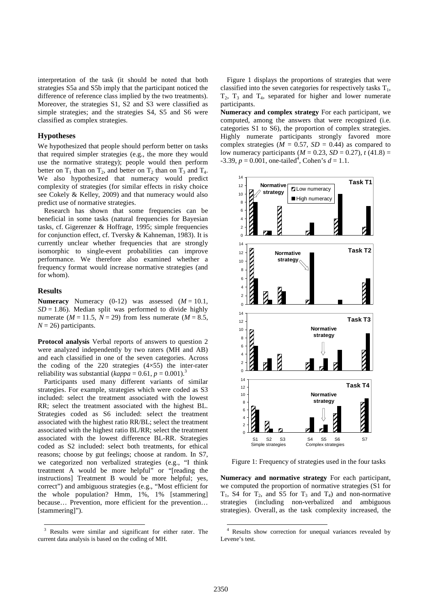interpretation of the task (it should be noted that both strategies S5a and S5b imply that the participant noticed the difference of reference class implied by the two treatments). Moreover, the strategies S1, S2 and S3 were classified as simple strategies; and the strategies S4, S5 and S6 were classified as complex strategies.

#### **Hypotheses**

We hypothesized that people should perform better on tasks that required simpler strategies (e.g., the more they would use the normative strategy); people would then perform better on  $T_1$  than on  $T_2$ , and better on  $T_2$  than on  $T_3$  and  $T_4$ . We also hypothesized that numeracy would predict complexity of strategies (for similar effects in risky choice see Cokely & Kelley, 2009) and that numeracy would also predict use of normative strategies.

Research has shown that some frequencies can be beneficial in some tasks (natural frequencies for Bayesian tasks, cf. Gigerenzer & Hoffrage, 1995; simple frequencies for conjunction effect, cf. Tversky & Kahneman, 1983). It is currently unclear whether frequencies that are strongly isomorphic to single-event probabilities can improve performance. We therefore also examined whether a frequency format would increase normative strategies (and for whom).

#### **Results**

l

**Numeracy** Numeracy  $(0-12)$  was assessed  $(M = 10.1)$ ,  $SD = 1.86$ ). Median split was performed to divide highly numerate ( $M = 11.5$ ,  $N = 29$ ) from less numerate ( $M = 8.5$ ,  $N = 26$ ) participants.

**Protocol analysis** Verbal reports of answers to question 2 were analyzed independently by two raters (MH and AB) and each classified in one of the seven categories. Across the coding of the 220 strategies (4×55) the inter-rater reliability was substantial ( $kappa = 0.61$ ,  $p = 0.001$ ).<sup>3</sup>

Participants used many different variants of similar strategies. For example, strategies which were coded as S3 included: select the treatment associated with the lowest RR; select the treatment associated with the highest BL. Strategies coded as S6 included: select the treatment associated with the highest ratio RR/BL; select the treatment associated with the highest ratio BL/RR; select the treatment associated with the lowest difference BL-RR. Strategies coded as S2 included: select both treatments, for ethical reasons; choose by gut feelings; choose at random. In S7, we categorized non verbalized strategies (e.g., "I think treatment A would be more helpful" or "[reading the instructions] Treatment B would be more helpful; yes, correct") and ambiguous strategies (e.g., "Most efficient for the whole population? Hmm, 1%, 1% [stammering] because… Prevention, more efficient for the prevention… [stammering]").

Figure 1 displays the proportions of strategies that were classified into the seven categories for respectively tasks  $T_1$ ,  $T_2$ ,  $T_3$  and  $T_4$ , separated for higher and lower numerate participants.

**Numeracy and complex strategy** For each participant, we computed, among the answers that were recognized (i.e. categories S1 to S6), the proportion of complex strategies. Highly numerate participants strongly favored more complex strategies ( $M = 0.57$ ,  $SD = 0.44$ ) as compared to low numeracy participants ( $M = 0.23$ ,  $SD = 0.27$ ),  $t(41.8) =$  $-3.39, p = 0.001$ , one-tailed<sup>4</sup>, Cohen's  $d = 1.1$ .



Figure 1: Frequency of strategies used in the four tasks

**Numeracy and normative strategy** For each participant, we computed the proportion of normative strategies (S1 for  $T_1$ , S4 for  $T_2$ , and S5 for  $T_3$  and  $T_4$ ) and non-normative strategies (including non-verbalized and ambiguous strategies). Overall, as the task complexity increased, the

 $\overline{a}$ 

<sup>3</sup> Results were similar and significant for either rater. The current data analysis is based on the coding of MH.

<sup>4</sup> Results show correction for unequal variances revealed by Levene's test.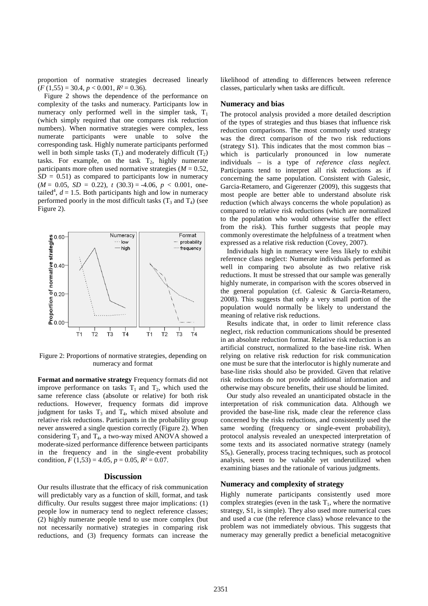proportion of normative strategies decreased linearly (*F* (1,55) = 30.4, *p* < 0.001, *R²* = 0.36).

Figure 2 shows the dependence of the performance on complexity of the tasks and numeracy. Participants low in numeracy only performed well in the simpler task,  $T_1$ (which simply required that one compares risk reduction numbers). When normative strategies were complex, less numerate participants were unable to solve the corresponding task. Highly numerate participants performed well in both simple tasks  $(T_1)$  and moderately difficult  $(T_2)$ tasks. For example, on the task  $T_2$ , highly numerate participants more often used normative strategies  $(M = 0.52)$ ,  $SD = 0.51$ ) as compared to participants low in numeracy  $(M = 0.05, SD = 0.22), t (30.3) = -4.06, p < 0.001,$  onetailed<sup>4</sup>,  $d = 1.5$ . Both participants high and low in numeracy performed poorly in the most difficult tasks  $(T_3 \text{ and } T_4)$  (see Figure 2).



Figure 2: Proportions of normative strategies, depending on numeracy and format

**Format and normative strategy** Frequency formats did not improve performance on tasks  $T_1$  and  $T_2$ , which used the same reference class (absolute or relative) for both risk reductions. However, frequency formats did improve judgment for tasks  $T_3$  and  $T_4$ , which mixed absolute and relative risk reductions. Participants in the probability group never answered a single question correctly (Figure 2). When considering  $T_3$  and  $T_4$ , a two-way mixed ANOVA showed a moderate-sized performance difference between participants in the frequency and in the single-event probability condition,  $F(1,53) = 4.05$ ,  $p = 0.05$ ,  $R^2 = 0.07$ .

### **Discussion**

Our results illustrate that the efficacy of risk communication will predictably vary as a function of skill, format, and task difficulty. Our results suggest three major implications: (1) people low in numeracy tend to neglect reference classes; (2) highly numerate people tend to use more complex (but not necessarily normative) strategies in comparing risk reductions, and (3) frequency formats can increase the likelihood of attending to differences between reference classes, particularly when tasks are difficult.

#### **Numeracy and bias**

The protocol analysis provided a more detailed description of the types of strategies and thus biases that influence risk reduction comparisons. The most commonly used strategy was the direct comparison of the two risk reductions (strategy S1). This indicates that the most common bias – which is particularly pronounced in low numerate individuals – is a type of *reference class neglect.*  Participants tend to interpret all risk reductions as if concerning the same population. Consistent with Galesic, Garcia-Retamero, and Gigerenzer (2009), this suggests that most people are better able to understand absolute risk reduction (which always concerns the whole population) as compared to relative risk reductions (which are normalized to the population who would otherwise suffer the effect from the risk). This further suggests that people may commonly overestimate the helpfulness of a treatment when expressed as a relative risk reduction (Covey, 2007).

Individuals high in numeracy were less likely to exhibit reference class neglect: Numerate individuals performed as well in comparing two absolute as two relative risk reductions. It must be stressed that our sample was generally highly numerate, in comparison with the scores observed in the general population (cf. Galesic & Garcia-Retamero, 2008). This suggests that only a very small portion of the population would normally be likely to understand the meaning of relative risk reductions.

Results indicate that, in order to limit reference class neglect, risk reduction communications should be presented in an absolute reduction format. Relative risk reduction is an artificial construct, normalized to the base-line risk. When relying on relative risk reduction for risk communication one must be sure that the interlocutor is highly numerate and base-line risks should also be provided. Given that relative risk reductions do not provide additional information and otherwise may obscure benefits, their use should be limited.

Our study also revealed an unanticipated obstacle in the interpretation of risk communication data. Although we provided the base-line risk, made clear the reference class concerned by the risks reductions, and consistently used the same wording (frequency or single-event probability), protocol analysis revealed an unexpected interpretation of some texts and its associated normative strategy (namely  $S_5$ ). Generally, process tracing techniques, such as protocol analysis, seem to be valuable yet underutilized when examining biases and the rationale of various judgments.

#### **Numeracy and complexity of strategy**

Highly numerate participants consistently used more complex strategies (even in the task  $T_1$ , where the normative strategy, S1, is simple). They also used more numerical cues and used a cue (the reference class) whose relevance to the problem was not immediately obvious. This suggests that numeracy may generally predict a beneficial metacognitive